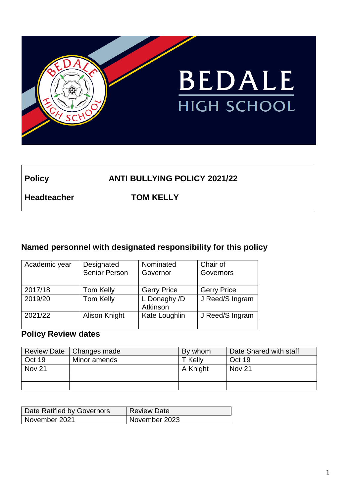

# **Policy ANTI BULLYING POLICY 2021/22**

**Headteacher TOM KELLY**

# **Named personnel with designated responsibility for this policy**

| Academic year | Designated           | Nominated                | Chair of           |
|---------------|----------------------|--------------------------|--------------------|
|               | <b>Senior Person</b> | Governor                 | Governors          |
|               |                      |                          |                    |
| 2017/18       | Tom Kelly            | <b>Gerry Price</b>       | <b>Gerry Price</b> |
| 2019/20       | Tom Kelly            | L Donaghy /D<br>Atkinson | J Reed/S Ingram    |
| 2021/22       | Alison Knight        | Kate Loughlin            | J Reed/S Ingram    |
|               |                      |                          |                    |

# **Policy Review dates**

|               | Review Date   Changes made | By whom  | Date Shared with staff |
|---------------|----------------------------|----------|------------------------|
| Oct 19        | Minor amends               | . Kellv  | Oct 19                 |
| <b>Nov 21</b> |                            | A Knight | Nov 21                 |
|               |                            |          |                        |
|               |                            |          |                        |

| Date Ratified by Governors | Review Date   |
|----------------------------|---------------|
| November 2021              | November 2023 |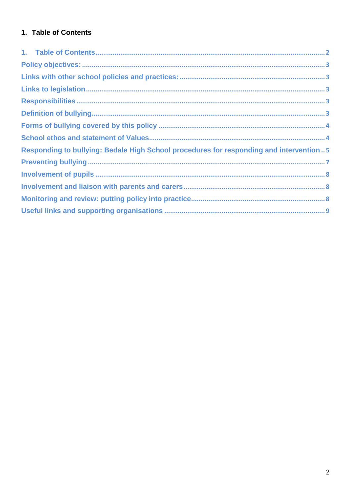# <span id="page-1-0"></span>1. Table of Contents

| Responding to bullying: Bedale High School procedures for responding and intervention5 |  |
|----------------------------------------------------------------------------------------|--|
|                                                                                        |  |
|                                                                                        |  |
|                                                                                        |  |
|                                                                                        |  |
|                                                                                        |  |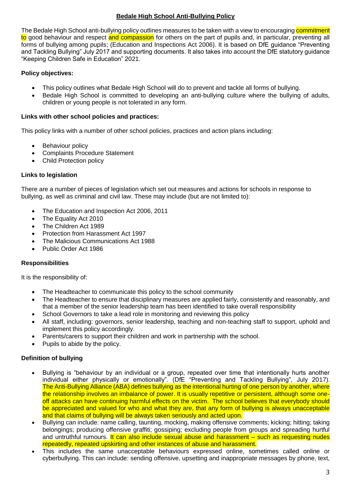# **Bedale High School Anti-Bullying Policy**

The Bedale High School anti-bullying policy outlines measures to be taken with a view to encouraging commitment to good behaviour and respect and compassion for others on the part of pupils and, in particular, preventing all forms of bullying among pupils; (Education and Inspections Act 2006). It is based on DfE guidance "Preventing and Tackling Bullying" July 2017 and supporting documents. It also takes into account the DfE statutory guidance "Keeping Children Safe in Education" 2021.

# <span id="page-2-0"></span>**Policy objectives:**

- This policy outlines what Bedale High School will do to prevent and tackle all forms of bullying.
- Bedale High School is committed to developing an anti-bullying culture where the bullying of adults, children or young people is not tolerated in any form.

### <span id="page-2-1"></span>**Links with other school policies and practices:**

This policy links with a number of other school policies, practices and action plans including:

- Behaviour policy
- Complaints Procedure Statement
- Child Protection policy

### <span id="page-2-2"></span>**Links to legislation**

There are a number of pieces of legislation which set out measures and actions for schools in response to bullying, as well as criminal and civil law. These may include (but are not limited to):

- The Education and Inspection Act 2006, 2011
- The Equality Act 2010
- The Children Act 1989
- Protection from Harassment Act 1997
- The Malicious Communications Act 1988
- Public Order Act 1986

### <span id="page-2-3"></span>**Responsibilities**

It is the responsibility of:

- The Headteacher to communicate this policy to the school community
- The Headteacher to ensure that disciplinary measures are applied fairly, consistently and reasonably, and that a member of the senior leadership team has been identified to take overall responsibility
- School Governors to take a lead role in monitoring and reviewing this policy
- All staff, including: governors, senior leadership, teaching and non-teaching staff to support, uphold and implement this policy accordingly.
- Parents/carers to support their children and work in partnership with the school.
- Pupils to abide by the policy.

### <span id="page-2-4"></span>**Definition of bullying**

- Bullying is "behaviour by an individual or a group, repeated over time that intentionally hurts another individual either physically or emotionally". (DfE "Preventing and Tackling Bullying", July 2017). The Anti-Bullying Alliance (ABA) defines bullying as the intentional hurting of one person by another, where the relationship involves an imbalance of power. It is usually repetitive or persistent, although some oneoff attacks can have continuing harmful effects on the victim. The school believes that everybody should be appreciated and valued for who and what they are, that any form of bullying is always unacceptable and that claims of bullying will be always taken seriously and acted upon.
- Bullying can include: name calling, taunting, mocking, making offensive comments; kicking; hitting; taking belongings; producing offensive graffiti; gossiping; excluding people from groups and spreading hurtful and untruthful rumours. It can also include sexual abuse and harassment – such as requesting nudes repeatedly, repeated upskirting and other instances of abuse and harassment.
- This includes the same unacceptable behaviours expressed online, sometimes called online or cyberbullying. This can include: sending offensive, upsetting and inappropriate messages by phone, text,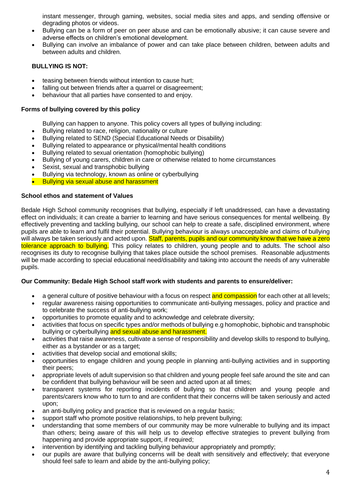instant messenger, through gaming, websites, social media sites and apps, and sending offensive or degrading photos or videos.

- Bullying can be a form of peer on peer abuse and can be emotionally abusive; it can cause severe and adverse effects on children's emotional development.
- Bullying can involve an imbalance of power and can take place between children, between adults and between adults and children.

# **BULLYING IS NOT:**

- teasing between friends without intention to cause hurt;
- falling out between friends after a quarrel or disagreement;
- behaviour that all parties have consented to and enjoy.

# <span id="page-3-0"></span>**Forms of bullying covered by this policy**

- Bullying can happen to anyone. This policy covers all types of bullying including:
- Bullying related to race, religion, nationality or culture
- Bullying related to SEND (Special Educational Needs or Disability)
- Bullying related to appearance or physical/mental health conditions
- Bullying related to sexual orientation (homophobic bullying)
- Bullying of young carers, children in care or otherwise related to home circumstances
- Sexist, sexual and transphobic bullying
- Bullying via technology, known as online or cyberbullying
- Bullying via sexual abuse and harassment

# <span id="page-3-1"></span>**School ethos and statement of Values**

Bedale High School community recognises that bullying, especially if left unaddressed, can have a devastating effect on individuals; it can create a barrier to learning and have serious consequences for mental wellbeing. By effectively preventing and tackling bullying, our school can help to create a safe, disciplined environment, where pupils are able to learn and fulfil their potential. Bullying behaviour is always unacceptable and claims of bullying will always be taken seriously and acted upon. Staff, parents, pupils and our community know that we have a zero tolerance approach to bullying. This policy relates to children, young people and to adults. The school also recognises its duty to recognise bullying that takes place outside the school premises. Reasonable adjustments will be made according to special educational need/disability and taking into account the needs of any vulnerable pupils.

# **Our Community: Bedale High School staff work with students and parents to ensure/deliver:**

- a general culture of positive behaviour with a focus on respect and compassion for each other at all levels;
- regular awareness raising opportunities to communicate anti-bullying messages, policy and practice and to celebrate the success of anti-bullying work;
- opportunities to promote equality and to acknowledge and celebrate diversity;
- activities that focus on specific types and/or methods of bullying e.g homophobic, biphobic and transphobic bullying or cyberbullying and sexual abuse and harassment.
- activities that raise awareness, cultivate a sense of responsibility and develop skills to respond to bullying, either as a bystander or as a target:
- activities that develop social and emotional skills;
- opportunities to engage children and young people in planning anti-bullying activities and in supporting their peers;
- appropriate levels of adult supervision so that children and young people feel safe around the site and can be confident that bullying behaviour will be seen and acted upon at all times;
- transparent systems for reporting incidents of bullying so that children and young people and parents/carers know who to turn to and are confident that their concerns will be taken seriously and acted upon;
- an anti-bullying policy and practice that is reviewed on a regular basis;
- support staff who promote positive relationships, to help prevent bullying;
- understanding that some members of our community may be more vulnerable to bullying and its impact than others; being aware of this will help us to develop effective strategies to prevent bullying from happening and provide appropriate support, if required;
- intervention by identifying and tackling bullying behaviour appropriately and promptly;
- our pupils are aware that bullying concerns will be dealt with sensitively and effectively; that everyone should feel safe to learn and abide by the anti-bullying policy;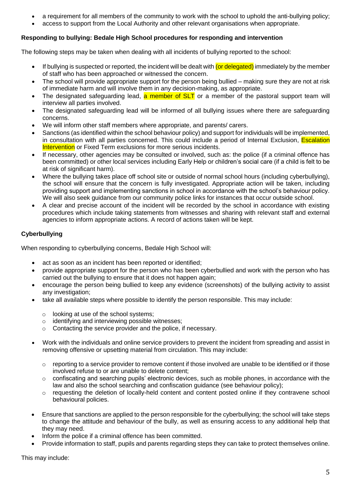- a requirement for all members of the community to work with the school to uphold the anti-bullying policy;
- access to support from the Local Authority and other relevant organisations when appropriate.

### <span id="page-4-0"></span>**Responding to bullying: Bedale High School procedures for responding and intervention**

The following steps may be taken when dealing with all incidents of bullying reported to the school:

- If bullying is suspected or reported, the incident will be dealt with (or delegated) immediately by the member of staff who has been approached or witnessed the concern.
- The school will provide appropriate support for the person being bullied making sure they are not at risk of immediate harm and will involve them in any decision-making, as appropriate.
- The designated safeguarding lead, a member of SLT or a member of the pastoral support team will interview all parties involved.
- The designated safeguarding lead will be informed of all bullying issues where there are safeguarding concerns.
- We will inform other staff members where appropriate, and parents/ carers.
- Sanctions (as identified within the school behaviour policy) and support for individuals will be implemented, in consultation with all parties concerned. This could include a period of Internal Exclusion, **Escalation** Intervention or Fixed Term exclusions for more serious incidents.
- If necessary, other agencies may be consulted or involved, such as: the police (if a criminal offence has been committed) or other local services including Early Help or children's social care (if a child is felt to be at risk of significant harm).
- Where the bullying takes place off school site or outside of normal school hours (including cyberbullying), the school will ensure that the concern is fully investigated. Appropriate action will be taken, including providing support and implementing sanctions in school in accordance with the school's behaviour policy. We will also seek guidance from our community police links for instances that occur outside school.
- A clear and precise account of the incident will be recorded by the school in accordance with existing procedures which include taking statements from witnesses and sharing with relevant staff and external agencies to inform appropriate actions. A record of actions taken will be kept.

# **Cyberbullying**

When responding to cyberbullying concerns, Bedale High School will:

- act as soon as an incident has been reported or identified;
- provide appropriate support for the person who has been cyberbullied and work with the person who has carried out the bullying to ensure that it does not happen again;
- encourage the person being bullied to keep any evidence (screenshots) of the bullying activity to assist any investigation;
- take all available steps where possible to identify the person responsible. This may include:
	- o looking at use of the school systems;
	- o identifying and interviewing possible witnesses;
	- o Contacting the service provider and the police, if necessary.
- Work with the individuals and online service providers to prevent the incident from spreading and assist in removing offensive or upsetting material from circulation. This may include:
	- $\circ$  reporting to a service provider to remove content if those involved are unable to be identified or if those involved refuse to or are unable to delete content;
	- $\circ$  confiscating and searching pupils' electronic devices, such as mobile phones, in accordance with the law and also the school searching and confiscation guidance (see behaviour policy);
	- $\circ$  requesting the deletion of locally-held content and content posted online if they contravene school behavioural policies.
- Ensure that sanctions are applied to the person responsible for the cyberbullying; the school will take steps to change the attitude and behaviour of the bully, as well as ensuring access to any additional help that they may need.
- Inform the police if a criminal offence has been committed.
- Provide information to staff, pupils and parents regarding steps they can take to protect themselves online.

This may include: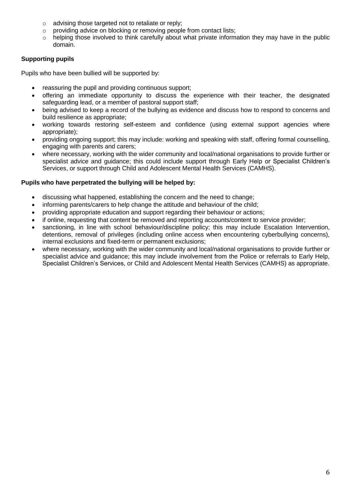- o advising those targeted not to retaliate or reply;
- o providing advice on blocking or removing people from contact lists;
- $\circ$  helping those involved to think carefully about what private information they may have in the public domain.

# **Supporting pupils**

Pupils who have been bullied will be supported by:

- reassuring the pupil and providing continuous support;
- offering an immediate opportunity to discuss the experience with their teacher, the designated safeguarding lead, or a member of pastoral support staff;
- being advised to keep a record of the bullying as evidence and discuss how to respond to concerns and build resilience as appropriate;
- working towards restoring self-esteem and confidence (using external support agencies where appropriate);
- providing ongoing support; this may include: working and speaking with staff, offering formal counselling, engaging with parents and carers;
- where necessary, working with the wider community and local/national organisations to provide further or specialist advice and guidance; this could include support through Early Help or Specialist Children's Services, or support through Child and Adolescent Mental Health Services (CAMHS).

### **Pupils who have perpetrated the bullying will be helped by:**

- discussing what happened, establishing the concern and the need to change;
- informing parents/carers to help change the attitude and behaviour of the child;
- providing appropriate education and support regarding their behaviour or actions;
- if online, requesting that content be removed and reporting accounts/content to service provider;
- sanctioning, in line with school behaviour/discipline policy; this may include Escalation Intervention, detentions, removal of privileges (including online access when encountering cyberbullying concerns), internal exclusions and fixed-term or permanent exclusions;
- where necessary, working with the wider community and local/national organisations to provide further or specialist advice and guidance; this may include involvement from the Police or referrals to Early Help, Specialist Children's Services, or Child and Adolescent Mental Health Services (CAMHS) as appropriate.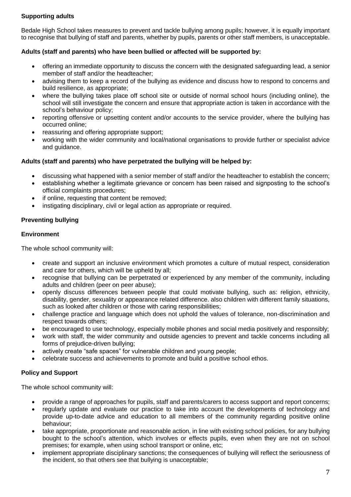# **Supporting adults**

Bedale High School takes measures to prevent and tackle bullying among pupils; however, it is equally important to recognise that bullying of staff and parents, whether by pupils, parents or other staff members, is unacceptable.

## **Adults (staff and parents) who have been bullied or affected will be supported by:**

- offering an immediate opportunity to discuss the concern with the designated safeguarding lead, a senior member of staff and/or the headteacher;
- advising them to keep a record of the bullying as evidence and discuss how to respond to concerns and build resilience, as appropriate;
- where the bullying takes place off school site or outside of normal school hours (including online), the school will still investigate the concern and ensure that appropriate action is taken in accordance with the school's behaviour policy;
- reporting offensive or upsetting content and/or accounts to the service provider, where the bullying has occurred online;
- reassuring and offering appropriate support;
- working with the wider community and local/national organisations to provide further or specialist advice and guidance.

### **Adults (staff and parents) who have perpetrated the bullying will be helped by:**

- discussing what happened with a senior member of staff and/or the headteacher to establish the concern;
- establishing whether a legitimate grievance or concern has been raised and signposting to the school's official complaints procedures;
- if online, requesting that content be removed;
- instigating disciplinary, civil or legal action as appropriate or required.

# <span id="page-6-0"></span>**Preventing bullying**

### **Environment**

The whole school community will:

- create and support an inclusive environment which promotes a culture of mutual respect, consideration and care for others, which will be upheld by all;
- recognise that bullying can be perpetrated or experienced by any member of the community, including adults and children (peer on peer abuse);
- openly discuss differences between people that could motivate bullying, such as: religion, ethnicity, disability, gender, sexuality or appearance related difference. also children with different family situations, such as looked after children or those with caring responsibilities;
- challenge practice and language which does not uphold the values of tolerance, non-discrimination and respect towards others;
- be encouraged to use technology, especially mobile phones and social media positively and responsibly;
- work with staff, the wider community and outside agencies to prevent and tackle concerns including all forms of prejudice-driven bullying;
- actively create "safe spaces" for vulnerable children and young people;
- celebrate success and achievements to promote and build a positive school ethos.

### **Policy and Support**

The whole school community will:

- provide a range of approaches for pupils, staff and parents/carers to access support and report concerns;
- regularly update and evaluate our practice to take into account the developments of technology and provide up-to-date advice and education to all members of the community regarding positive online behaviour;
- take appropriate, proportionate and reasonable action, in line with existing school policies, for any bullying bought to the school's attention, which involves or effects pupils, even when they are not on school premises; for example, when using school transport or online, etc;
- implement appropriate disciplinary sanctions; the consequences of bullying will reflect the seriousness of the incident, so that others see that bullying is unacceptable;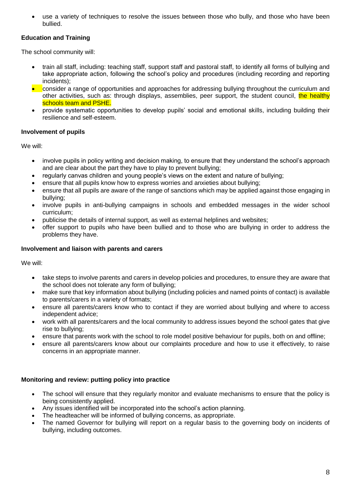use a variety of techniques to resolve the issues between those who bully, and those who have been bullied.

# **Education and Training**

The school community will:

- train all staff, including: teaching staff, support staff and pastoral staff, to identify all forms of bullying and take appropriate action, following the school's policy and procedures (including recording and reporting incidents);
- **•** consider a range of opportunities and approaches for addressing bullying throughout the curriculum and other activities, such as: through displays, assemblies, peer support, the student council, the healthy schools team and PSHE.
- provide systematic opportunities to develop pupils' social and emotional skills, including building their resilience and self-esteem.

#### <span id="page-7-0"></span>**Involvement of pupils**

We will:

- involve pupils in policy writing and decision making, to ensure that they understand the school's approach and are clear about the part they have to play to prevent bullying;
- regularly canvas children and young people's views on the extent and nature of bullying;
- ensure that all pupils know how to express worries and anxieties about bullying;
- ensure that all pupils are aware of the range of sanctions which may be applied against those engaging in bullying;
- involve pupils in anti-bullying campaigns in schools and embedded messages in the wider school curriculum;
- publicise the details of internal support, as well as external helplines and websites;
- offer support to pupils who have been bullied and to those who are bullying in order to address the problems they have.

#### <span id="page-7-1"></span>**Involvement and liaison with parents and carers**

We will:

- take steps to involve parents and carers in develop policies and procedures, to ensure they are aware that the school does not tolerate any form of bullying;
- make sure that key information about bullying (including policies and named points of contact) is available to parents/carers in a variety of formats;
- ensure all parents/carers know who to contact if they are worried about bullying and where to access independent advice;
- work with all parents/carers and the local community to address issues beyond the school gates that give rise to bullying;
- ensure that parents work with the school to role model positive behaviour for pupils, both on and offline;
- ensure all parents/carers know about our complaints procedure and how to use it effectively, to raise concerns in an appropriate manner.

### <span id="page-7-2"></span>**Monitoring and review: putting policy into practice**

- The school will ensure that they regularly monitor and evaluate mechanisms to ensure that the policy is being consistently applied.
- Any issues identified will be incorporated into the school's action planning.
- The headteacher will be informed of bullying concerns, as appropriate.
- The named Governor for bullying will report on a regular basis to the governing body on incidents of bullying, including outcomes.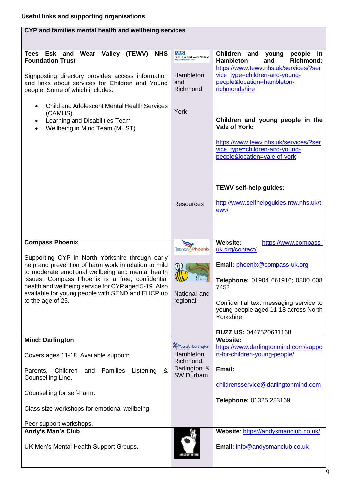<span id="page-8-0"></span>

| CYP and families mental health and wellbeing services                                                                                                                                                                                                                                                                                                                      |                                                                                    |                                                                                                                                                                                                                                                                          |  |  |
|----------------------------------------------------------------------------------------------------------------------------------------------------------------------------------------------------------------------------------------------------------------------------------------------------------------------------------------------------------------------------|------------------------------------------------------------------------------------|--------------------------------------------------------------------------------------------------------------------------------------------------------------------------------------------------------------------------------------------------------------------------|--|--|
| Tees Esk and Wear Valley<br>(TEWV)<br><b>NHS</b><br><b>Foundation Trust</b>                                                                                                                                                                                                                                                                                                | <b>NHS</b><br>Tees, Esk and Wear Valleys                                           | Children and<br>people<br>young<br>- in<br><b>Hambleton</b><br><b>Richmond:</b><br>and<br>https://www.tewv.nhs.uk/services/?ser                                                                                                                                          |  |  |
| Signposting directory provides access information<br>and links about services for Children and Young<br>people. Some of which includes:                                                                                                                                                                                                                                    | Hambleton<br>and<br>Richmond                                                       | vice_type=children-and-young-<br>people&location=hambleton-<br>richmondshire                                                                                                                                                                                             |  |  |
| <b>Child and Adolescent Mental Health Services</b><br>(CAMHS)<br>Learning and Disabilities Team<br>$\bullet$<br>Wellbeing in Mind Team (MHST)                                                                                                                                                                                                                              | York                                                                               | Children and young people in the<br>Vale of York:<br>https://www.tewv.nhs.uk/services/?ser<br>vice_type=children-and-young-<br>people&location=vale-of-york                                                                                                              |  |  |
|                                                                                                                                                                                                                                                                                                                                                                            | <b>Resources</b>                                                                   | <b>TEWV self-help guides:</b><br>http://www.selfhelpguides.ntw.nhs.uk/t<br>ewv/                                                                                                                                                                                          |  |  |
| <b>Compass Phoenix</b><br>Supporting CYP in North Yorkshire through early<br>help and prevention of harm work in relation to mild<br>to moderate emotional wellbeing and mental health<br>issues. Compass Phoenix is a free, confidential<br>health and wellbeing service for CYP aged 5-19. Also<br>available for young people with SEND and EHCP up<br>to the age of 25. | <b>Compass Phoenix</b><br>National and<br>regional                                 | <b>Website:</b><br>https://www.compass-<br>uk.org/contact/<br>Email: phoenix@compass-uk.org<br>Telephone: 01904 661916; 0800 008<br>7452<br>Confidential text messaging service to<br>young people aged 11-18 across North<br>Yorkshire<br><b>BUZZ US: 0447520631168</b> |  |  |
| <b>Mind: Darlington</b><br>Covers ages 11-18. Available support:<br>Parents, Children<br>Families<br>Listening<br>&<br>and<br>Counselling Line.<br>Counselling for self-harm.<br>Class size workshops for emotional wellbeing.<br>Peer support workshops.                                                                                                                  | <b>En</b> mind Darlington<br>Hambleton,<br>Richmond,<br>Darlington &<br>SW Durham. | <b>Website:</b><br>https://www.darlingtonmind.com/suppo<br>rt-for-children-young-people/<br>Email:<br>childrensservice@darlingtonmind.com<br>Telephone: 01325 283169                                                                                                     |  |  |
| Andy's Man's Club<br>UK Men's Mental Health Support Groups.                                                                                                                                                                                                                                                                                                                | #ITSOKAYTOTALI                                                                     | Website: https://andysmanclub.co.uk/<br>Email: info@andysmanclub.co.uk                                                                                                                                                                                                   |  |  |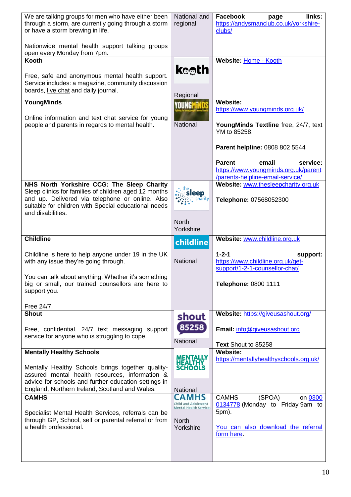| We are talking groups for men who have either been<br>through a storm, are currently going through a storm<br>or have a storm brewing in life.<br>Nationwide mental health support talking groups                                   | National and<br>regional                                                                           | Facebook<br>links:<br>page<br>https://andysmanclub.co.uk/yorkshire-<br>clubs/                                                      |
|-------------------------------------------------------------------------------------------------------------------------------------------------------------------------------------------------------------------------------------|----------------------------------------------------------------------------------------------------|------------------------------------------------------------------------------------------------------------------------------------|
| open every Monday from 7pm.<br>Kooth                                                                                                                                                                                                |                                                                                                    | Website: Home - Kooth                                                                                                              |
| Free, safe and anonymous mental health support.<br>Service includes: a magazine, community discussion<br>boards, live chat and daily journal.                                                                                       | <b>keeth</b>                                                                                       |                                                                                                                                    |
| YoungMinds                                                                                                                                                                                                                          | Regional                                                                                           | <b>Website:</b>                                                                                                                    |
| Online information and text chat service for young<br>people and parents in regards to mental health.                                                                                                                               | YOUNGMIN<br>National                                                                               | https://www.youngminds.org.uk/<br>YoungMinds Textline free, 24/7, text<br>YM to 85258.                                             |
|                                                                                                                                                                                                                                     |                                                                                                    | Parent helpline: 0808 802 5544                                                                                                     |
|                                                                                                                                                                                                                                     |                                                                                                    | <b>Parent</b><br>email<br>service:<br>https://www.youngminds.org.uk/parent<br>/parents-helpline-email-service/                     |
| NHS North Yorkshire CCG: The Sleep Charity<br>Sleep clinics for families of children aged 12 months<br>and up. Delivered via telephone or online. Also<br>suitable for children with Special educational needs<br>and disabilities. | the<br>sleep<br>chārity                                                                            | Website: www.thesleepcharity.org.uk<br>Telephone: 07568052300                                                                      |
|                                                                                                                                                                                                                                     | <b>North</b><br>Yorkshire                                                                          |                                                                                                                                    |
|                                                                                                                                                                                                                                     |                                                                                                    |                                                                                                                                    |
| <b>Childline</b>                                                                                                                                                                                                                    | childline                                                                                          | Website: www.childline.org.uk                                                                                                      |
| Childline is here to help anyone under 19 in the UK<br>with any issue they're going through.                                                                                                                                        | National                                                                                           | $1 - 2 - 1$<br>support:<br>https://www.childline.org.uk/get-<br>support/1-2-1-counsellor-chat/                                     |
| You can talk about anything. Whether it's something<br>big or small, our trained counsellors are here to<br>support you.                                                                                                            |                                                                                                    | Telephone: 0800 1111                                                                                                               |
| Free 24/7.                                                                                                                                                                                                                          |                                                                                                    |                                                                                                                                    |
| <b>Shout</b><br>Free, confidential, 24/7 text messaging support<br>service for anyone who is struggling to cope.                                                                                                                    | shout<br>85258<br>National                                                                         | Website: https://giveusashout.org/<br>Email: info@giveusashout.org                                                                 |
| <b>Mentally Healthy Schools</b>                                                                                                                                                                                                     |                                                                                                    | Text Shout to 85258<br><b>Website:</b>                                                                                             |
| Mentally Healthy Schools brings together quality-<br>assured mental health resources, information &<br>advice for schools and further education settings in                                                                         | MENTALLY<br>HEALTHY<br>SCHOOLS                                                                     | https://mentallyhealthyschools.org.uk/                                                                                             |
| England, Northern Ireland, Scotland and Wales.                                                                                                                                                                                      | National                                                                                           |                                                                                                                                    |
| <b>CAMHS</b><br>Specialist Mental Health Services, referrals can be<br>through GP, School, self or parental referral or from<br>a health professional.                                                                              | <b>CAMHS</b><br>Child and Adolescent<br><b>Mental Health Services</b><br><b>North</b><br>Yorkshire | <b>CAMHS</b><br>(SPOA)<br>on 0300<br>0134778 (Monday to Friday 9am to<br>5pm).<br>You can also download the referral<br>form here. |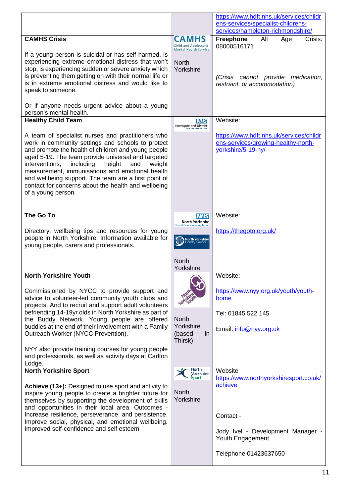|                                                                                                                                                                                                                                                                                                                                                                                                                                                                                                                                                                                                                                                                                                                                                                                                                                                                                                                                                 |                                                                                                                                      | https://www.hdft.nhs.uk/services/childr                                                                                                                                                                                                       |
|-------------------------------------------------------------------------------------------------------------------------------------------------------------------------------------------------------------------------------------------------------------------------------------------------------------------------------------------------------------------------------------------------------------------------------------------------------------------------------------------------------------------------------------------------------------------------------------------------------------------------------------------------------------------------------------------------------------------------------------------------------------------------------------------------------------------------------------------------------------------------------------------------------------------------------------------------|--------------------------------------------------------------------------------------------------------------------------------------|-----------------------------------------------------------------------------------------------------------------------------------------------------------------------------------------------------------------------------------------------|
|                                                                                                                                                                                                                                                                                                                                                                                                                                                                                                                                                                                                                                                                                                                                                                                                                                                                                                                                                 |                                                                                                                                      | ens-services/specialist-childrens-<br>services/hambleton-richmondshire/                                                                                                                                                                       |
| <b>CAMHS Crisis</b>                                                                                                                                                                                                                                                                                                                                                                                                                                                                                                                                                                                                                                                                                                                                                                                                                                                                                                                             |                                                                                                                                      | Freephone<br>All<br>Crisis:<br>Age                                                                                                                                                                                                            |
|                                                                                                                                                                                                                                                                                                                                                                                                                                                                                                                                                                                                                                                                                                                                                                                                                                                                                                                                                 | Child and Adolescent<br><b>Mental Health Services</b>                                                                                | 08000516171                                                                                                                                                                                                                                   |
| If a young person is suicidal or has self-harmed, is<br>experiencing extreme emotional distress that won't<br>stop, is experiencing sudden or severe anxiety which<br>is preventing them getting on with their normal life or<br>is in extreme emotional distress and would like to<br>speak to someone.<br>Or if anyone needs urgent advice about a young                                                                                                                                                                                                                                                                                                                                                                                                                                                                                                                                                                                      | <b>North</b><br>Yorkshire                                                                                                            | (Crisis cannot provide medication,<br>restraint, or accommodation)                                                                                                                                                                            |
| person's mental health.                                                                                                                                                                                                                                                                                                                                                                                                                                                                                                                                                                                                                                                                                                                                                                                                                                                                                                                         |                                                                                                                                      |                                                                                                                                                                                                                                               |
| <b>Healthy Child Team</b>                                                                                                                                                                                                                                                                                                                                                                                                                                                                                                                                                                                                                                                                                                                                                                                                                                                                                                                       | <b>NHS</b><br><b>Harrogate and District</b>                                                                                          | Website:                                                                                                                                                                                                                                      |
| A team of specialist nurses and practitioners who<br>work in community settings and schools to protect<br>and promote the health of children and young people<br>aged 5-19. The team provide universal and targeted<br>interventions,<br>including<br>height<br>and<br>weight<br>measurement, immunisations and emotional health<br>and wellbeing support. The team are a first point of<br>contact for concerns about the health and wellbeing<br>of a young person.                                                                                                                                                                                                                                                                                                                                                                                                                                                                           | <b>NHS Foundation Trus</b>                                                                                                           | https://www.hdft.nhs.uk/services/childr<br>ens-services/growing-healthy-north-<br>yorkshire/5-19-ny/                                                                                                                                          |
| The Go To                                                                                                                                                                                                                                                                                                                                                                                                                                                                                                                                                                                                                                                                                                                                                                                                                                                                                                                                       | <b>NHS</b>                                                                                                                           | Website:                                                                                                                                                                                                                                      |
| Directory, wellbeing tips and resources for young<br>people in North Yorkshire. Information available for<br>young people, carers and professionals.                                                                                                                                                                                                                                                                                                                                                                                                                                                                                                                                                                                                                                                                                                                                                                                            | North Yorkshire<br><b>Clinical Commissioning Group</b><br><b>North Yorkshire</b><br><b>County Counci</b><br><b>North</b>             | https://thegoto.org.uk/                                                                                                                                                                                                                       |
|                                                                                                                                                                                                                                                                                                                                                                                                                                                                                                                                                                                                                                                                                                                                                                                                                                                                                                                                                 | Yorkshire                                                                                                                            |                                                                                                                                                                                                                                               |
| <b>North Yorkshire Youth</b><br>Commissioned by NYCC to provide support and<br>advice to volunteer-led community youth clubs and<br>projects. And to recruit and support adult volunteers<br>befriending 14-19yr olds in North Yorkshire as part of<br>the Buddy Network. Young people are offered<br>buddies at the end of their involvement with a Family<br>Outreach Worker (NYCC Prevention).<br>NYY also provide training courses for young people<br>and professionals, as well as activity days at Carlton<br>Lodge.<br><b>North Yorkshire Sport</b><br>Achieve (13+): Designed to use sport and activity to<br>inspire young people to create a brighter future for<br>themselves by supporting the development of skills<br>and opportunities in their local area. Outcomes -<br>Increase resilience, perseverance, and persistence.<br>Improve social, physical, and emotional wellbeing.<br>Improved self-confidence and self esteem | <b>North</b><br>Yorkshire<br>(based<br><i>in</i><br>Thirsk)<br>North<br><mark>yorkshire</mark><br>Sport<br><b>North</b><br>Yorkshire | Website:<br>https://www.nyy.org.uk/youth/youth-<br>home<br>Tel: 01845 522 145<br>Email: info@nyy.org.uk<br>Website<br>https://www.northyorkshiresport.co.uk/<br>achieve<br>Contact -<br>Jody Ivel - Development Manager -<br>Youth Engagement |
|                                                                                                                                                                                                                                                                                                                                                                                                                                                                                                                                                                                                                                                                                                                                                                                                                                                                                                                                                 |                                                                                                                                      | Telephone 01423637650                                                                                                                                                                                                                         |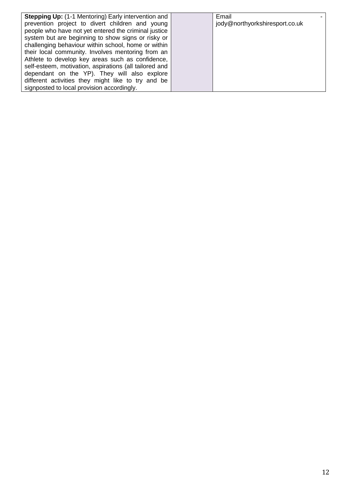| <b>Stepping Up: (1-1 Mentoring) Early intervention and</b> | Email                          |
|------------------------------------------------------------|--------------------------------|
| prevention project to divert children and young            | jody@northyorkshiresport.co.uk |
| people who have not yet entered the criminal justice       |                                |
| system but are beginning to show signs or risky or         |                                |
| challenging behaviour within school, home or within        |                                |
| their local community. Involves mentoring from an          |                                |
| Athlete to develop key areas such as confidence,           |                                |
| self-esteem, motivation, aspirations (all tailored and     |                                |
| dependant on the YP). They will also explore               |                                |
| different activities they might like to try and be         |                                |
| signposted to local provision accordingly.                 |                                |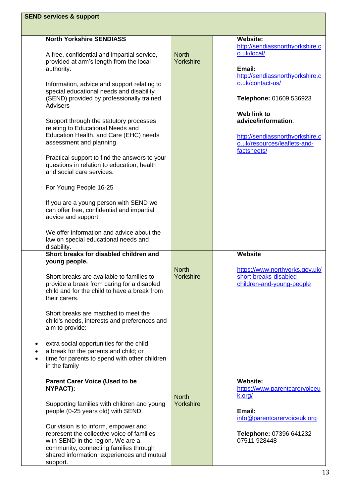| <b>SEND services &amp; support</b>                                                                                                                                                                                                                                                                                             |                           |                                                                                                                      |
|--------------------------------------------------------------------------------------------------------------------------------------------------------------------------------------------------------------------------------------------------------------------------------------------------------------------------------|---------------------------|----------------------------------------------------------------------------------------------------------------------|
|                                                                                                                                                                                                                                                                                                                                |                           |                                                                                                                      |
| <b>North Yorkshire SENDIASS</b><br>A free, confidential and impartial service,<br>provided at arm's length from the local<br>authority.                                                                                                                                                                                        | <b>North</b><br>Yorkshire | <b>Website:</b><br>http://sendiassnorthyorkshire.c<br>o.uk/local/<br>Email:<br>http://sendiassnorthyorkshire.c       |
| Information, advice and support relating to<br>special educational needs and disability<br>(SEND) provided by professionally trained<br>Advisers                                                                                                                                                                               |                           | o.uk/contact-us/<br>Telephone: 01609 536923                                                                          |
| Support through the statutory processes<br>relating to Educational Needs and<br>Education Health, and Care (EHC) needs<br>assessment and planning<br>Practical support to find the answers to your<br>questions in relation to education, health                                                                               |                           | Web link to<br>advice/information:<br>http://sendiassnorthyorkshire.c<br>o.uk/resources/leaflets-and-<br>factsheets/ |
| and social care services.<br>For Young People 16-25                                                                                                                                                                                                                                                                            |                           |                                                                                                                      |
| If you are a young person with SEND we<br>can offer free, confidential and impartial<br>advice and support.                                                                                                                                                                                                                    |                           |                                                                                                                      |
| We offer information and advice about the<br>law on special educational needs and<br>disability.                                                                                                                                                                                                                               |                           |                                                                                                                      |
| Short breaks for disabled children and<br>young people.<br>Short breaks are available to families to<br>provide a break from caring for a disabled<br>child and for the child to have a break from<br>their carers.<br>Short breaks are matched to meet the<br>child's needs, interests and preferences and<br>aim to provide: | <b>North</b><br>Yorkshire | <b>Website</b><br>https://www.northyorks.gov.uk/<br>short-breaks-disabled-<br>children-and-young-people              |
| extra social opportunities for the child;<br>a break for the parents and child; or<br>time for parents to spend with other children<br>in the family                                                                                                                                                                           |                           |                                                                                                                      |
| <b>Parent Carer Voice (Used to be</b><br>NYPACT):<br>Supporting families with children and young<br>people (0-25 years old) with SEND.                                                                                                                                                                                         | <b>North</b><br>Yorkshire | <b>Website:</b><br>https://www.parentcarervoiceu<br>k.org/<br>Email:                                                 |
| Our vision is to inform, empower and<br>represent the collective voice of families<br>with SEND in the region. We are a<br>community, connecting families through<br>shared information, experiences and mutual<br>support.                                                                                                    |                           | info@parentcarervoiceuk.org<br>Telephone: 07396 641232<br>07511 928448                                               |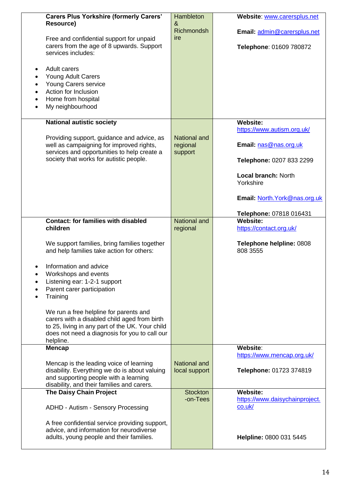|           | <b>Carers Plus Yorkshire (formerly Carers'</b>                                         | Hambleton           | Website: www.carersplus.net                |
|-----------|----------------------------------------------------------------------------------------|---------------------|--------------------------------------------|
|           | Resource)                                                                              | &                   |                                            |
|           |                                                                                        | <b>Richmondsh</b>   | Email: admin@carersplus.net                |
|           | Free and confidential support for unpaid                                               | ire                 |                                            |
|           | carers from the age of 8 upwards. Support<br>services includes:                        |                     | Telephone: 01609 780872                    |
|           |                                                                                        |                     |                                            |
| $\bullet$ | Adult carers                                                                           |                     |                                            |
| $\bullet$ | <b>Young Adult Carers</b>                                                              |                     |                                            |
| $\bullet$ | Young Carers service                                                                   |                     |                                            |
| $\bullet$ | Action for Inclusion                                                                   |                     |                                            |
| $\bullet$ | Home from hospital                                                                     |                     |                                            |
| $\bullet$ | My neighbourhood                                                                       |                     |                                            |
|           |                                                                                        |                     |                                            |
|           | <b>National autistic society</b>                                                       |                     | <b>Website:</b>                            |
|           |                                                                                        | <b>National and</b> | https://www.autism.org.uk/                 |
|           | Providing support, guidance and advice, as<br>well as campaigning for improved rights, | regional            | Email: nas@nas.org.uk                      |
|           | services and opportunities to help create a                                            | support             |                                            |
|           | society that works for autistic people.                                                |                     | Telephone: 0207 833 2299                   |
|           |                                                                                        |                     |                                            |
|           |                                                                                        |                     | <b>Local branch: North</b>                 |
|           |                                                                                        |                     | Yorkshire                                  |
|           |                                                                                        |                     |                                            |
|           |                                                                                        |                     | Email: North.York@nas.org.uk               |
|           |                                                                                        |                     |                                            |
|           | <b>Contact: for families with disabled</b>                                             | <b>National and</b> | Telephone: 07818 016431<br><b>Website:</b> |
|           | children                                                                               | regional            | https://contact.org.uk/                    |
|           |                                                                                        |                     |                                            |
|           | We support families, bring families together                                           |                     | Telephone helpline: 0808                   |
|           | and help families take action for others:                                              |                     | 808 3555                                   |
|           |                                                                                        |                     |                                            |
|           | Information and advice<br>Workshops and events                                         |                     |                                            |
| $\bullet$ | Listening ear: 1-2-1 support                                                           |                     |                                            |
|           | Parent carer participation                                                             |                     |                                            |
|           | Training                                                                               |                     |                                            |
|           |                                                                                        |                     |                                            |
|           | We run a free helpline for parents and                                                 |                     |                                            |
|           | carers with a disabled child aged from birth                                           |                     |                                            |
|           | to 25, living in any part of the UK. Your child                                        |                     |                                            |
|           | does not need a diagnosis for you to call our<br>helpline.                             |                     |                                            |
|           | <b>Mencap</b>                                                                          |                     | Website:                                   |
|           |                                                                                        |                     | https://www.mencap.org.uk/                 |
|           | Mencap is the leading voice of learning                                                | National and        |                                            |
|           | disability. Everything we do is about valuing                                          | local support       | Telephone: 01723 374819                    |
|           | and supporting people with a learning                                                  |                     |                                            |
|           | disability, and their families and carers.<br><b>The Daisy Chain Project</b>           | <b>Stockton</b>     | <b>Website:</b>                            |
|           |                                                                                        | -on-Tees            | https://www.daisychainproject.             |
|           | ADHD - Autism - Sensory Processing                                                     |                     | co.uk/                                     |
|           |                                                                                        |                     |                                            |
|           | A free confidential service providing support,                                         |                     |                                            |
|           | advice, and information for neurodiverse                                               |                     |                                            |
|           | adults, young people and their families.                                               |                     | Helpline: 0800 031 5445                    |
|           |                                                                                        |                     |                                            |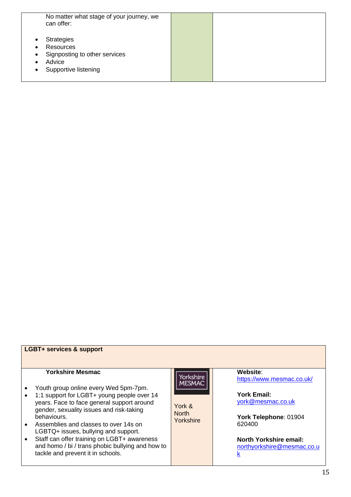| No matter what stage of your journey, we<br>can offer:                                                                      |  |
|-----------------------------------------------------------------------------------------------------------------------------|--|
| <b>Strategies</b><br>Resources<br>Signposting to other services<br>$\bullet$<br>Advice<br>Supportive listening<br>$\bullet$ |  |

#### **LGBT+ services & support**

#### **Yorkshire Mesmac**

- Youth group online every Wed 5pm-7pm.
- 1:1 support for LGBT+ young people over 14 years. Face to face general support around gender, sexuality issues and risk-taking behaviours.
- Assemblies and classes to over 14s on LGBTQ+ issues, bullying and support.
- Staff can offer training on LGBT+ awareness and homo / bi / trans phobic bullying and how to tackle and prevent it in schools.

Yorkshire<br>MESMAC

York & **North Yorkshire**  **Website**: <https://www.mesmac.co.uk/>

**York Email:** [york@mesmac.co.uk](mailto:york@mesmac.co.uk)

**York Telephone**: 01904 620400

**North Yorkshire email:** [northyorkshire@mesmac.co.u](mailto:northyorkshire@mesmac.co.uk) [k](mailto:northyorkshire@mesmac.co.uk)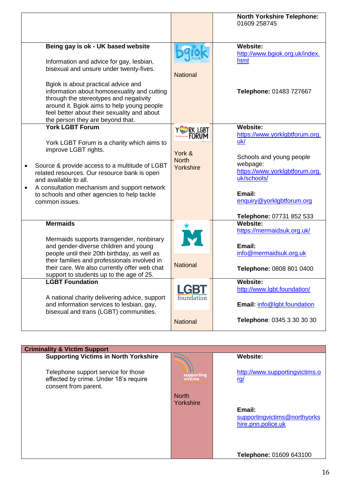|                                                                                                                                                                                                                                                               |                        | <b>North Yorkshire Telephone:</b><br>01609 258745 |
|---------------------------------------------------------------------------------------------------------------------------------------------------------------------------------------------------------------------------------------------------------------|------------------------|---------------------------------------------------|
| Being gay is ok - UK based website                                                                                                                                                                                                                            |                        | <b>Website:</b><br>http://www.bgiok.org.uk/index. |
| Information and advice for gay, lesbian,<br>bisexual and unsure under twenty-fives.                                                                                                                                                                           |                        | html                                              |
|                                                                                                                                                                                                                                                               | <b>National</b>        |                                                   |
| Bgiok is about practical advice and<br>information about homosexuality and cutting<br>through the stereotypes and negativity<br>around it. Bgiok aims to help young people<br>feel better about their sexuality and about<br>the person they are beyond that. |                        | Telephone: 01483 727667                           |
| <b>York LGBT Forum</b>                                                                                                                                                                                                                                        | YSRK LGBT              | <b>Website:</b><br>https://www.yorklgbtforum.org. |
| York LGBT Forum is a charity which aims to                                                                                                                                                                                                                    |                        | uk/                                               |
| improve LGBT rights.                                                                                                                                                                                                                                          | York &<br><b>North</b> | Schools and young people                          |
| Source & provide access to a multitude of LGBT<br>$\bullet$<br>related resources. Our resource bank is open                                                                                                                                                   | Yorkshire              | webpage:<br>https://www.yorklgbtforum.org.        |
| and available to all.<br>A consultation mechanism and support network<br>$\bullet$                                                                                                                                                                            |                        | uk/schools/                                       |
| to schools and other agencies to help tackle<br>common issues.                                                                                                                                                                                                |                        | Email:<br>enquiry@yorklgbtforum.org               |
|                                                                                                                                                                                                                                                               |                        |                                                   |
| <b>Mermaids</b>                                                                                                                                                                                                                                               |                        | Telephone: 07731 852 533<br><b>Website:</b>       |
|                                                                                                                                                                                                                                                               | 大                      | https://mermaidsuk.org.uk/                        |
| Mermaids supports transgender, nonbinary<br>and gender-diverse children and young                                                                                                                                                                             |                        | Email:                                            |
| people until their 20th birthday, as well as<br>their families and professionals involved in                                                                                                                                                                  |                        | info@mermaidsuk.org.uk                            |
| their care. We also currently offer web chat<br>support to students up to the age of 25.                                                                                                                                                                      | <b>National</b>        | Telephone: 0808 801 0400                          |
| <b>LGBT Foundation</b>                                                                                                                                                                                                                                        | LGBT                   | <b>Website:</b><br>http://www.lgbt.foundation/    |
| A national charity delivering advice, support                                                                                                                                                                                                                 | foundation             |                                                   |
| and information services to lesbian, gay,<br>bisexual and trans (LGBT) communities.                                                                                                                                                                           |                        | Email: info@lgbt.foundation                       |
|                                                                                                                                                                                                                                                               | <b>National</b>        | Telephone: 0345 3 30 30 30                        |
|                                                                                                                                                                                                                                                               |                        |                                                   |

| <b>Criminality &amp; Victim Support</b>                                                              |                       |                                                              |  |
|------------------------------------------------------------------------------------------------------|-----------------------|--------------------------------------------------------------|--|
| <b>Supporting Victims in North Yorkshire</b>                                                         |                       | <b>Website:</b>                                              |  |
| Telephone support service for those<br>effected by crime. Under 18's require<br>consent from parent. | supporting<br>victims | http://www.supportingvictims.o<br><u>rg/</u>                 |  |
|                                                                                                      | <b>North</b>          |                                                              |  |
|                                                                                                      | Yorkshire             | Email:<br>supportingvictims@northyorks<br>hire.pnn.police.uk |  |
|                                                                                                      |                       | Telephone: 01609 643100                                      |  |